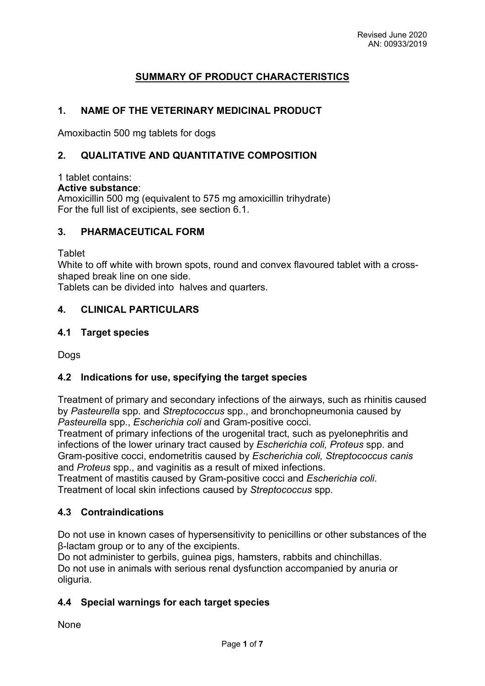# **SUMMARY OF PRODUCT CHARACTERISTICS**

# **1. NAME OF THE VETERINARY MEDICINAL PRODUCT**

Amoxibactin 500 mg tablets for dogs

## **2. QUALITATIVE AND QUANTITATIVE COMPOSITION**

#### 1 tablet contains:

#### **Active substance**:

Amoxicillin 500 mg (equivalent to 575 mg amoxicillin trihydrate) For the full list of excipients, see section 6.1.

#### **3. PHARMACEUTICAL FORM**

Tablet

White to off white with brown spots, round and convex flavoured tablet with a crossshaped break line on one side.

Tablets can be divided into halves and quarters.

### **4. CLINICAL PARTICULARS**

#### **4.1 Target species**

**Dogs** 

#### **4.2 Indications for use, specifying the target species**

Treatment of primary and secondary infections of the airways, such as rhinitis caused by *Pasteurella* spp. and *Streptococcus* spp., and bronchopneumonia caused by *Pasteurella* spp., *Escherichia coli* and Gram-positive cocci.

Treatment of primary infections of the urogenital tract, such as pyelonephritis and infections of the lower urinary tract caused by *Escherichia coli, Proteus* spp. and Gram-positive cocci, endometritis caused by *Escherichia coli, Streptococcus canis*  and *Proteus* spp., and vaginitis as a result of mixed infections.

Treatment of mastitis caused by Gram-positive cocci and *Escherichia coli*. Treatment of local skin infections caused by *Streptococcus* spp*.*

#### **4.3 Contraindications**

Do not use in known cases of hypersensitivity to penicillins or other substances of the β-lactam group or to any of the excipients.

Do not administer to gerbils, guinea pigs, hamsters, rabbits and chinchillas. Do not use in animals with serious renal dysfunction accompanied by anuria or oliguria.

# **4.4 Special warnings for each target species**

None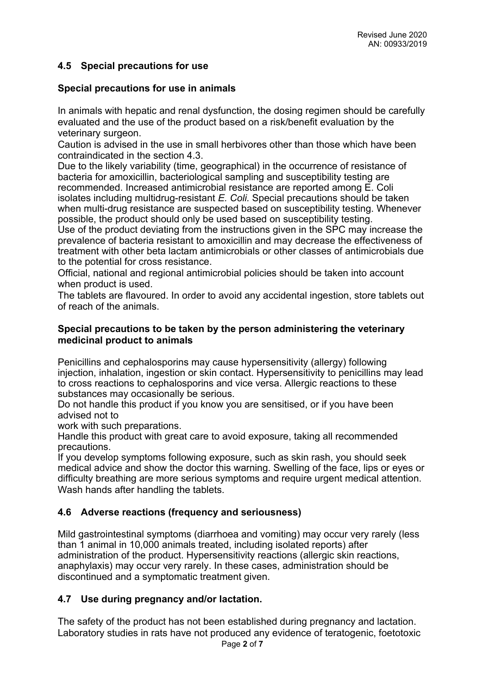# **4.5 Special precautions for use**

### **Special precautions for use in animals**

In animals with hepatic and renal dysfunction, the dosing regimen should be carefully evaluated and the use of the product based on a risk/benefit evaluation by the veterinary surgeon.

Caution is advised in the use in small herbivores other than those which have been contraindicated in the section 4.3.

Due to the likely variability (time, geographical) in the occurrence of resistance of bacteria for amoxicillin, bacteriological sampling and susceptibility testing are recommended. Increased antimicrobial resistance are reported among E. Coli isolates including multidrug-resistant *E. Coli.* Special precautions should be taken when multi-drug resistance are suspected based on susceptibility testing. Whenever possible, the product should only be used based on susceptibility testing.

Use of the product deviating from the instructions given in the SPC may increase the prevalence of bacteria resistant to amoxicillin and may decrease the effectiveness of treatment with other beta lactam antimicrobials or other classes of antimicrobials due to the potential for cross resistance.

Official, national and regional antimicrobial policies should be taken into account when product is used.

The tablets are flavoured. In order to avoid any accidental ingestion, store tablets out of reach of the animals.

#### **Special precautions to be taken by the person administering the veterinary medicinal product to animals**

Penicillins and cephalosporins may cause hypersensitivity (allergy) following injection, inhalation, ingestion or skin contact. Hypersensitivity to penicillins may lead to cross reactions to cephalosporins and vice versa. Allergic reactions to these substances may occasionally be serious.

Do not handle this product if you know you are sensitised, or if you have been advised not to

work with such preparations.

Handle this product with great care to avoid exposure, taking all recommended precautions.

If you develop symptoms following exposure, such as skin rash, you should seek medical advice and show the doctor this warning. Swelling of the face, lips or eyes or difficulty breathing are more serious symptoms and require urgent medical attention. Wash hands after handling the tablets.

# **4.6 Adverse reactions (frequency and seriousness)**

Mild gastrointestinal symptoms (diarrhoea and vomiting) may occur very rarely (less than 1 animal in 10,000 animals treated, including isolated reports) after administration of the product. Hypersensitivity reactions (allergic skin reactions, anaphylaxis) may occur very rarely. In these cases, administration should be discontinued and a symptomatic treatment given.

# **4.7 Use during pregnancy and/or lactation.**

The safety of the product has not been established during pregnancy and lactation. Laboratory studies in rats have not produced any evidence of teratogenic, foetotoxic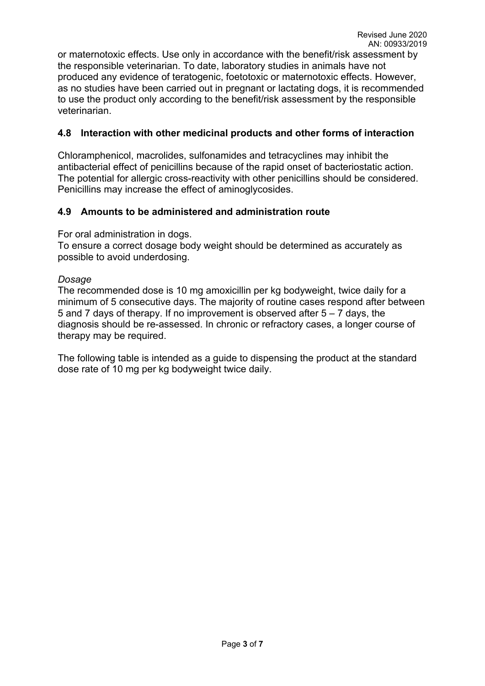or maternotoxic effects. Use only in accordance with the benefit/risk assessment by the responsible veterinarian. To date, laboratory studies in animals have not produced any evidence of teratogenic, foetotoxic or maternotoxic effects. However, as no studies have been carried out in pregnant or lactating dogs, it is recommended to use the product only according to the benefit/risk assessment by the responsible veterinarian.

## **4.8 Interaction with other medicinal products and other forms of interaction**

Chloramphenicol, macrolides, sulfonamides and tetracyclines may inhibit the antibacterial effect of penicillins because of the rapid onset of bacteriostatic action. The potential for allergic cross-reactivity with other penicillins should be considered. Penicillins may increase the effect of aminoglycosides.

### **4.9 Amounts to be administered and administration route**

#### For oral administration in dogs.

To ensure a correct dosage body weight should be determined as accurately as possible to avoid underdosing.

#### *Dosage*

The recommended dose is 10 mg amoxicillin per kg bodyweight, twice daily for a minimum of 5 consecutive days. The majority of routine cases respond after between 5 and 7 days of therapy. If no improvement is observed after 5 – 7 days, the diagnosis should be re-assessed. In chronic or refractory cases, a longer course of therapy may be required.

The following table is intended as a guide to dispensing the product at the standard dose rate of 10 mg per kg bodyweight twice daily.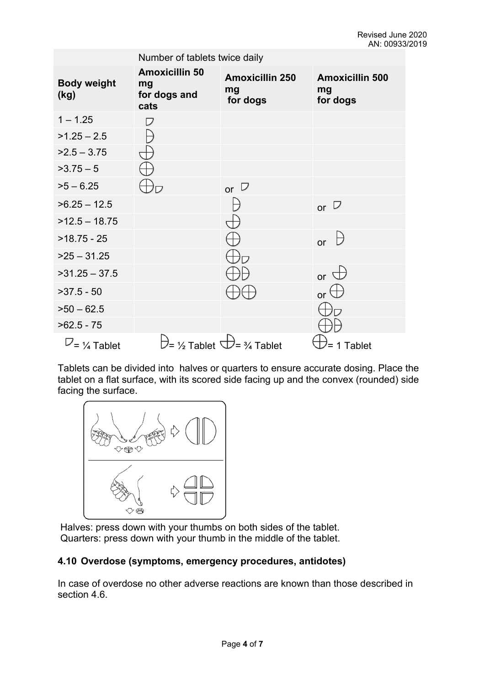| Number of tablets twice daily |                                                     |                                          |                                          |
|-------------------------------|-----------------------------------------------------|------------------------------------------|------------------------------------------|
| <b>Body weight</b><br>(kg)    | <b>Amoxicillin 50</b><br>mg<br>for dogs and<br>cats | <b>Amoxicillin 250</b><br>mg<br>for dogs | <b>Amoxicillin 500</b><br>mg<br>for dogs |
| $1 - 1.25$                    | ⊃                                                   |                                          |                                          |
| $>1.25 - 2.5$                 |                                                     |                                          |                                          |
| $>2.5 - 3.75$                 |                                                     |                                          |                                          |
| $>3.75-5$                     |                                                     |                                          |                                          |
| $>5 - 6.25$                   |                                                     | or $\Box$                                |                                          |
| $>6.25 - 12.5$                |                                                     |                                          | or $\overline{v}$                        |
| $>12.5 - 18.75$               |                                                     |                                          |                                          |
| $>18.75 - 25$                 |                                                     |                                          | or                                       |
| $>25 - 31.25$                 |                                                     |                                          |                                          |
| $>31.25 - 37.5$               |                                                     |                                          | or $\sigma$                              |
| $>37.5 - 50$                  |                                                     |                                          | or $\Box$                                |
| $>50 - 62.5$                  |                                                     |                                          |                                          |
| $>62.5 - 75$                  |                                                     |                                          |                                          |
| $U = \frac{1}{4}$ Tablet      |                                                     |                                          | 1 Tablet                                 |

Tablets can be divided into halves or quarters to ensure accurate dosing. Place the tablet on a flat surface, with its scored side facing up and the convex (rounded) side facing the surface.



 Halves: press down with your thumbs on both sides of the tablet. Quarters: press down with your thumb in the middle of the tablet.

# **4.10 Overdose (symptoms, emergency procedures, antidotes)**

In case of overdose no other adverse reactions are known than those described in section 4.6.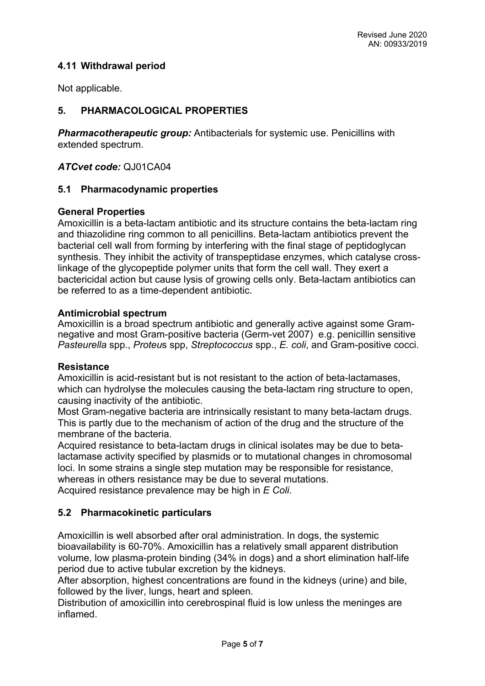### **4.11 Withdrawal period**

Not applicable.

## **5. PHARMACOLOGICAL PROPERTIES**

*Pharmacotherapeutic group:* Antibacterials for systemic use. Penicillins with extended spectrum.

*ATCvet code:* QJ01CA04

#### **5.1 Pharmacodynamic properties**

#### **General Properties**

Amoxicillin is a beta-lactam antibiotic and its structure contains the beta-lactam ring and thiazolidine ring common to all penicillins. Beta-lactam antibiotics prevent the bacterial cell wall from forming by interfering with the final stage of peptidoglycan synthesis. They inhibit the activity of transpeptidase enzymes, which catalyse crosslinkage of the glycopeptide polymer units that form the cell wall. They exert a bactericidal action but cause lysis of growing cells only. Beta-lactam antibiotics can be referred to as a time-dependent antibiotic.

#### **Antimicrobial spectrum**

Amoxicillin is a broad spectrum antibiotic and generally active against some Gramnegative and most Gram-positive bacteria (Germ-vet 2007) e.g. penicillin sensitive *Pasteurella* spp., *Proteu*s spp, *Streptococcus* spp., *E. coli*, and Gram-positive cocci.

#### **Resistance**

Amoxicillin is acid-resistant but is not resistant to the action of beta-lactamases, which can hydrolyse the molecules causing the beta-lactam ring structure to open, causing inactivity of the antibiotic.

Most Gram-negative bacteria are intrinsically resistant to many beta-lactam drugs. This is partly due to the mechanism of action of the drug and the structure of the membrane of the bacteria.

Acquired resistance to beta-lactam drugs in clinical isolates may be due to betalactamase activity specified by plasmids or to mutational changes in chromosomal loci. In some strains a single step mutation may be responsible for resistance, whereas in others resistance may be due to several mutations.

Acquired resistance prevalence may be high in *E Coli*.

#### **5.2 Pharmacokinetic particulars**

Amoxicillin is well absorbed after oral administration. In dogs, the systemic bioavailability is 60-70%. Amoxicillin has a relatively small apparent distribution volume, low plasma-protein binding (34% in dogs) and a short elimination half-life period due to active tubular excretion by the kidneys.

After absorption, highest concentrations are found in the kidneys (urine) and bile, followed by the liver, lungs, heart and spleen.

Distribution of amoxicillin into cerebrospinal fluid is low unless the meninges are inflamed.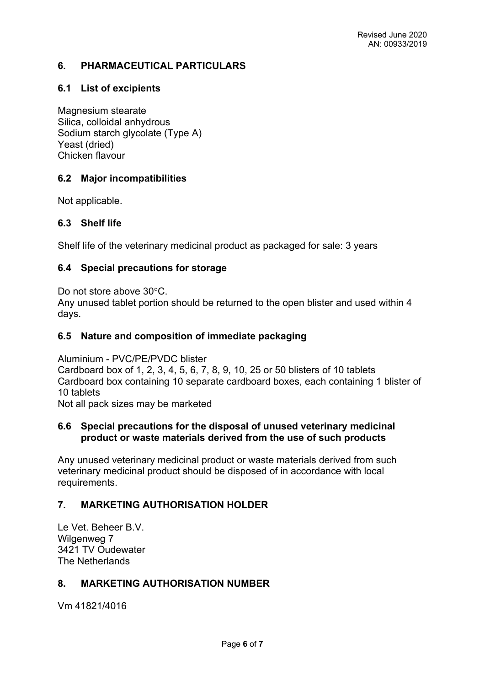### **6. PHARMACEUTICAL PARTICULARS**

## **6.1 List of excipients**

Magnesium stearate Silica, colloidal anhydrous Sodium starch glycolate (Type A) Yeast (dried) Chicken flavour

### **6.2 Major incompatibilities**

Not applicable.

#### **6.3 Shelf life**

Shelf life of the veterinary medicinal product as packaged for sale: 3 years

### **6.4 Special precautions for storage**

Do not store above 30°C.

Any unused tablet portion should be returned to the open blister and used within 4 days.

### **6.5 Nature and composition of immediate packaging**

Aluminium - PVC/PE/PVDC blister

Cardboard box of 1, 2, 3, 4, 5, 6, 7, 8, 9, 10, 25 or 50 blisters of 10 tablets Cardboard box containing 10 separate cardboard boxes, each containing 1 blister of 10 tablets

Not all pack sizes may be marketed

### **6.6 Special precautions for the disposal of unused veterinary medicinal product or waste materials derived from the use of such products**

Any unused veterinary medicinal product or waste materials derived from such veterinary medicinal product should be disposed of in accordance with local requirements.

# **7. MARKETING AUTHORISATION HOLDER**

Le Vet. Beheer B.V. Wilgenweg 7 3421 TV Oudewater The Netherlands

#### **8. MARKETING AUTHORISATION NUMBER**

Vm 41821/4016